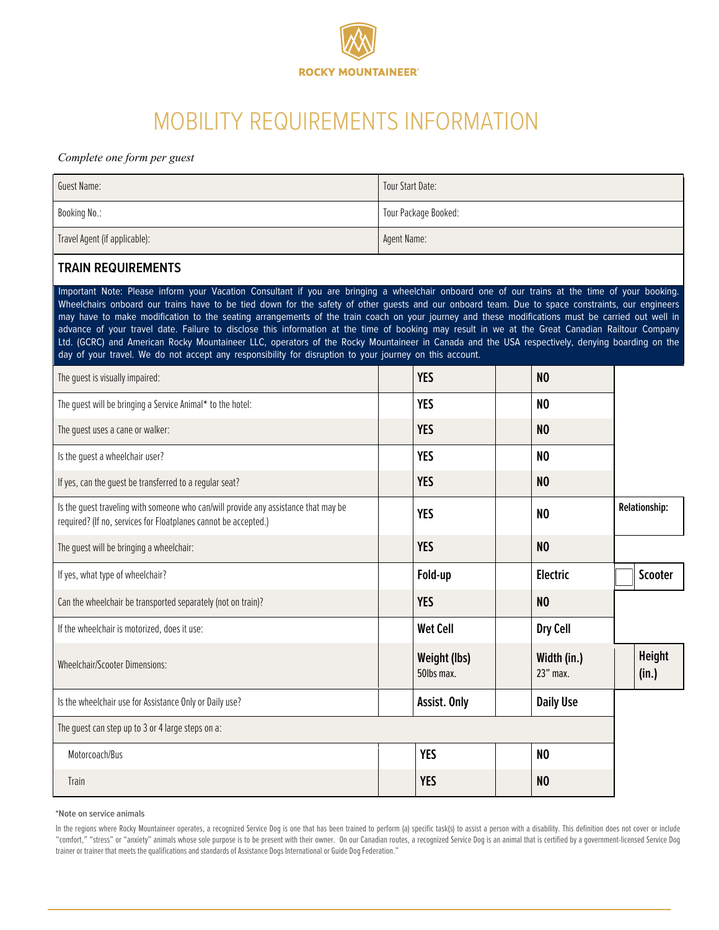

# MOBILITY REQUIREMENTS INFORMATION

#### *Complete one form per guest*

| <b>Guest Name:</b>                                                                                                                                                                                                                                                                                                                                                                                                                                                                                                                                                                                                                                                                                                                                                                                                                                                      | Tour Start Date:     |                            |  |                         |  |                      |
|-------------------------------------------------------------------------------------------------------------------------------------------------------------------------------------------------------------------------------------------------------------------------------------------------------------------------------------------------------------------------------------------------------------------------------------------------------------------------------------------------------------------------------------------------------------------------------------------------------------------------------------------------------------------------------------------------------------------------------------------------------------------------------------------------------------------------------------------------------------------------|----------------------|----------------------------|--|-------------------------|--|----------------------|
| Booking No.:                                                                                                                                                                                                                                                                                                                                                                                                                                                                                                                                                                                                                                                                                                                                                                                                                                                            | Tour Package Booked: |                            |  |                         |  |                      |
| Travel Agent (if applicable):                                                                                                                                                                                                                                                                                                                                                                                                                                                                                                                                                                                                                                                                                                                                                                                                                                           | Agent Name:          |                            |  |                         |  |                      |
| <b>TRAIN REQUIREMENTS</b>                                                                                                                                                                                                                                                                                                                                                                                                                                                                                                                                                                                                                                                                                                                                                                                                                                               |                      |                            |  |                         |  |                      |
| Important Note: Please inform your Vacation Consultant if you are bringing a wheelchair onboard one of our trains at the time of your booking.<br>Wheelchairs onboard our trains have to be tied down for the safety of other guests and our onboard team. Due to space constraints, our engineers<br>may have to make modification to the seating arrangements of the train coach on your journey and these modifications must be carried out well in<br>advance of your travel date. Failure to disclose this information at the time of booking may result in we at the Great Canadian Railtour Company<br>Ltd. (GCRC) and American Rocky Mountaineer LLC, operators of the Rocky Mountaineer in Canada and the USA respectively, denying boarding on the<br>day of your travel. We do not accept any responsibility for disruption to your journey on this account. |                      |                            |  |                         |  |                      |
| The guest is visually impaired:                                                                                                                                                                                                                                                                                                                                                                                                                                                                                                                                                                                                                                                                                                                                                                                                                                         |                      | <b>YES</b>                 |  | N <sub>0</sub>          |  |                      |
| The guest will be bringing a Service Animal* to the hotel:                                                                                                                                                                                                                                                                                                                                                                                                                                                                                                                                                                                                                                                                                                                                                                                                              |                      | <b>YES</b>                 |  | N <sub>0</sub>          |  |                      |
| The quest uses a cane or walker:                                                                                                                                                                                                                                                                                                                                                                                                                                                                                                                                                                                                                                                                                                                                                                                                                                        |                      | <b>YES</b>                 |  | N <sub>0</sub>          |  |                      |
| Is the guest a wheelchair user?                                                                                                                                                                                                                                                                                                                                                                                                                                                                                                                                                                                                                                                                                                                                                                                                                                         |                      | <b>YES</b>                 |  | N <sub>0</sub>          |  |                      |
| If yes, can the guest be transferred to a regular seat?                                                                                                                                                                                                                                                                                                                                                                                                                                                                                                                                                                                                                                                                                                                                                                                                                 |                      | <b>YES</b>                 |  | N <sub>0</sub>          |  |                      |
| Is the quest traveling with someone who can/will provide any assistance that may be<br>required? (If no, services for Floatplanes cannot be accepted.)                                                                                                                                                                                                                                                                                                                                                                                                                                                                                                                                                                                                                                                                                                                  |                      | <b>YES</b>                 |  | N <sub>0</sub>          |  | <b>Relationship:</b> |
| The guest will be bringing a wheelchair:                                                                                                                                                                                                                                                                                                                                                                                                                                                                                                                                                                                                                                                                                                                                                                                                                                |                      | <b>YES</b>                 |  | N <sub>0</sub>          |  |                      |
| If yes, what type of wheelchair?                                                                                                                                                                                                                                                                                                                                                                                                                                                                                                                                                                                                                                                                                                                                                                                                                                        |                      | Fold-up                    |  | Electric                |  | <b>Scooter</b>       |
| Can the wheelchair be transported separately (not on train)?                                                                                                                                                                                                                                                                                                                                                                                                                                                                                                                                                                                                                                                                                                                                                                                                            |                      | <b>YES</b>                 |  | N <sub>0</sub>          |  |                      |
| If the wheelchair is motorized, does it use:                                                                                                                                                                                                                                                                                                                                                                                                                                                                                                                                                                                                                                                                                                                                                                                                                            |                      | <b>Wet Cell</b>            |  | Dry Cell                |  |                      |
| <b>Wheelchair/Scooter Dimensions:</b>                                                                                                                                                                                                                                                                                                                                                                                                                                                                                                                                                                                                                                                                                                                                                                                                                                   |                      | Weight (lbs)<br>50lbs max. |  | Width (in.)<br>23" max. |  | Height<br>(in.)      |
| Is the wheelchair use for Assistance Only or Daily use?                                                                                                                                                                                                                                                                                                                                                                                                                                                                                                                                                                                                                                                                                                                                                                                                                 |                      | Assist. Only               |  | <b>Daily Use</b>        |  |                      |
| The quest can step up to 3 or 4 large steps on a:                                                                                                                                                                                                                                                                                                                                                                                                                                                                                                                                                                                                                                                                                                                                                                                                                       |                      |                            |  |                         |  |                      |
| Motorcoach/Bus                                                                                                                                                                                                                                                                                                                                                                                                                                                                                                                                                                                                                                                                                                                                                                                                                                                          |                      | <b>YES</b>                 |  | N <sub>0</sub>          |  |                      |
| Train                                                                                                                                                                                                                                                                                                                                                                                                                                                                                                                                                                                                                                                                                                                                                                                                                                                                   |                      | <b>YES</b>                 |  | N <sub>0</sub>          |  |                      |

#### **\*Note on service animals**

In the regions where Rocky Mountaineer operates, a recognized Service Dog is one that has been trained to perform (a) specific task(s) to assist a person with a disability. This definition does not cover or include "comfort," "stress" or "anxiety" animals whose sole purpose is to be present with their owner. On our Canadian routes, a recognized Service Dog is an animal that is certified by a government-licensed Service Dog trainer or trainer that meets the qualifications and standards of Assistance Dogs International or Guide Dog Federation."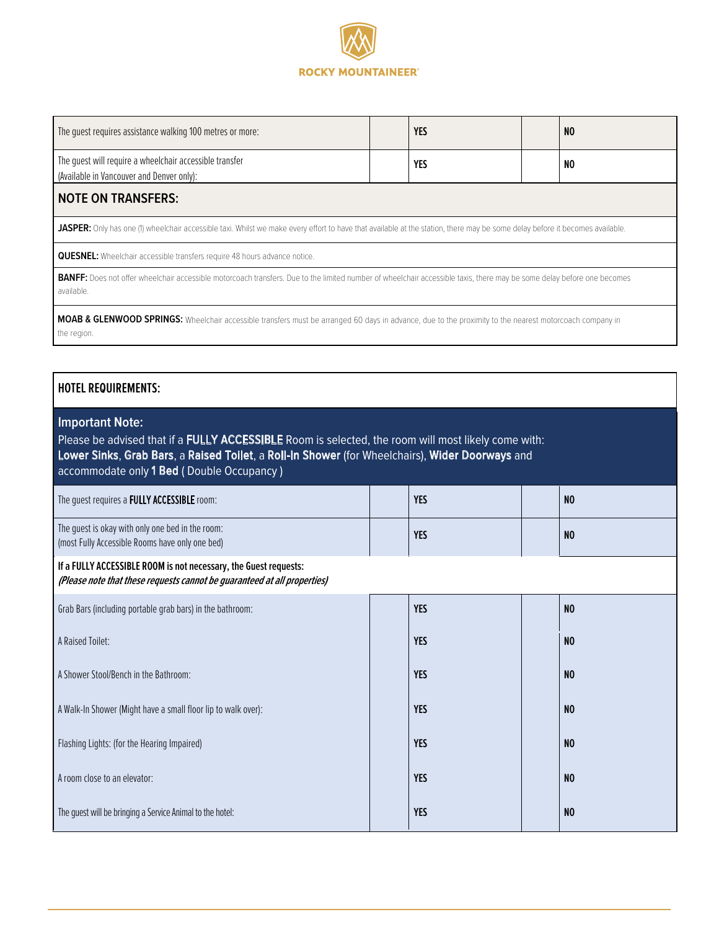

| The quest requires assistance walking 100 metres or more:                                                                                                                            |  | <b>YES</b> |  | NO |  |
|--------------------------------------------------------------------------------------------------------------------------------------------------------------------------------------|--|------------|--|----|--|
| The quest will require a wheelchair accessible transfer<br>(Available in Vancouver and Denver only):                                                                                 |  | YES        |  | NO |  |
| <b>NOTE ON TRANSFERS:</b>                                                                                                                                                            |  |            |  |    |  |
| <b>JASPER:</b> Only has one (1) wheelchair accessible taxi. Whilst we make every effort to have that available at the station, there may be some delay before it becomes available.  |  |            |  |    |  |
| <b>QUESNEL:</b> Wheelchair accessible transfers require 48 hours advance notice.                                                                                                     |  |            |  |    |  |
| BANFF: Does not offer wheelchair accessible motorcoach transfers. Due to the limited number of wheelchair accessible taxis, there may be some delay before one becomes<br>available. |  |            |  |    |  |
| MOAB & GLENWOOD SPRINGS: Wheelchair accessible transfers must be arranged 60 days in advance, due to the proximity to the nearest motorcoach company in<br>the region.               |  |            |  |    |  |

|  |  | <b>HOTEL REQUIREMENTS:</b> |
|--|--|----------------------------|
|--|--|----------------------------|

# **Important Note:**

Please be advised that if a FULLY ACCESSIBLE Room is selected, the room will most likely come with: Lower Sinks, Grab Bars, a Raised Toilet, a Roll-In Shower (for Wheelchairs), Wider Doorways and accommodate only 1 Bed ( Double Occupancy )

| The guest requires a FULLY ACCESSIBLE room:                                                                                                  |  | <b>YES</b> |  | N <sub>0</sub> |  |
|----------------------------------------------------------------------------------------------------------------------------------------------|--|------------|--|----------------|--|
| The guest is okay with only one bed in the room:<br>(most Fully Accessible Rooms have only one bed)                                          |  | <b>YES</b> |  | N <sub>0</sub> |  |
| If a FULLY ACCESSIBLE ROOM is not necessary, the Guest requests:<br>(Please note that these requests cannot be guaranteed at all properties) |  |            |  |                |  |
| Grab Bars (including portable grab bars) in the bathroom:                                                                                    |  | <b>YES</b> |  | N <sub>0</sub> |  |
| A Raised Toilet:                                                                                                                             |  | <b>YES</b> |  | N <sub>0</sub> |  |
| A Shower Stool/Bench in the Bathroom:                                                                                                        |  | <b>YES</b> |  | N <sub>0</sub> |  |
| A Walk-In Shower (Might have a small floor lip to walk over):                                                                                |  | <b>YES</b> |  | N <sub>0</sub> |  |
| Flashing Lights: (for the Hearing Impaired)                                                                                                  |  | <b>YES</b> |  | N <sub>0</sub> |  |
| A room close to an elevator:                                                                                                                 |  | <b>YES</b> |  | N <sub>0</sub> |  |
| The quest will be bringing a Service Animal to the hotel:                                                                                    |  | <b>YES</b> |  | N <sub>0</sub> |  |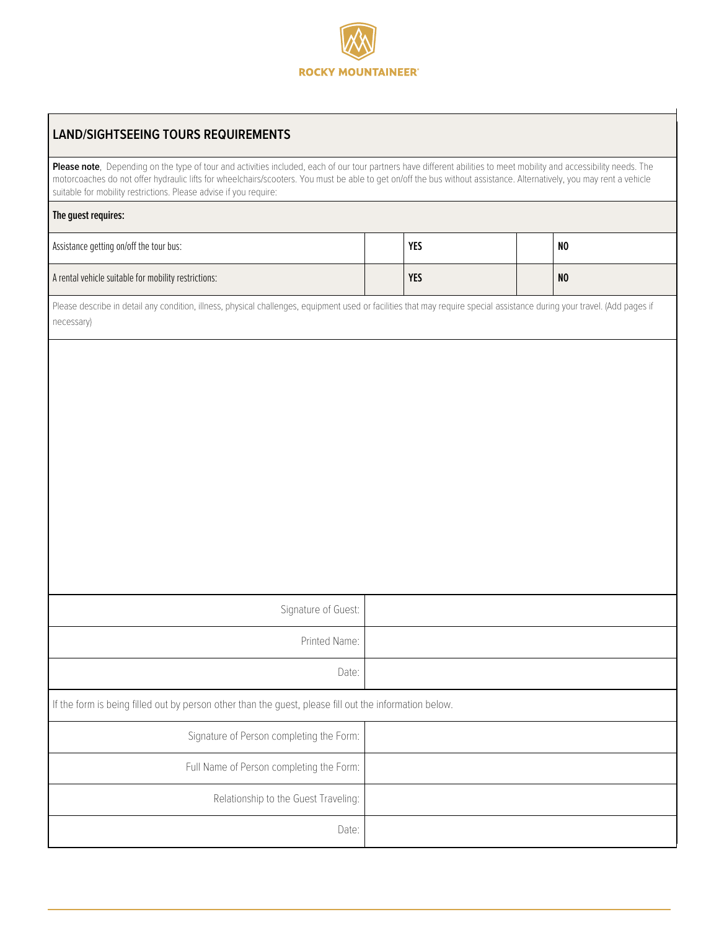

| <b>LAND/SIGHTSEEING TOURS REQUIREMENTS</b>                                                                                                                                                                                                                                                                                                                                                                        |  |            |  |                |  |  |
|-------------------------------------------------------------------------------------------------------------------------------------------------------------------------------------------------------------------------------------------------------------------------------------------------------------------------------------------------------------------------------------------------------------------|--|------------|--|----------------|--|--|
| Please note, Depending on the type of tour and activities included, each of our tour partners have different abilities to meet mobility and accessibility needs. The<br>motorcoaches do not offer hydraulic lifts for wheelchairs/scooters. You must be able to get on/off the bus without assistance. Alternatively, you may rent a vehicle<br>suitable for mobility restrictions. Please advise if you require: |  |            |  |                |  |  |
| The guest requires:                                                                                                                                                                                                                                                                                                                                                                                               |  |            |  |                |  |  |
| Assistance getting on/off the tour bus:                                                                                                                                                                                                                                                                                                                                                                           |  | <b>YES</b> |  | NO             |  |  |
| A rental vehicle suitable for mobility restrictions:                                                                                                                                                                                                                                                                                                                                                              |  | <b>YES</b> |  | N <sub>0</sub> |  |  |
| Please describe in detail any condition, illness, physical challenges, equipment used or facilities that may require special assistance during your travel. (Add pages if<br>necessary)                                                                                                                                                                                                                           |  |            |  |                |  |  |
|                                                                                                                                                                                                                                                                                                                                                                                                                   |  |            |  |                |  |  |
|                                                                                                                                                                                                                                                                                                                                                                                                                   |  |            |  |                |  |  |
|                                                                                                                                                                                                                                                                                                                                                                                                                   |  |            |  |                |  |  |
|                                                                                                                                                                                                                                                                                                                                                                                                                   |  |            |  |                |  |  |
|                                                                                                                                                                                                                                                                                                                                                                                                                   |  |            |  |                |  |  |
|                                                                                                                                                                                                                                                                                                                                                                                                                   |  |            |  |                |  |  |
|                                                                                                                                                                                                                                                                                                                                                                                                                   |  |            |  |                |  |  |
|                                                                                                                                                                                                                                                                                                                                                                                                                   |  |            |  |                |  |  |
| Signature of Guest:                                                                                                                                                                                                                                                                                                                                                                                               |  |            |  |                |  |  |
| Printed Name:                                                                                                                                                                                                                                                                                                                                                                                                     |  |            |  |                |  |  |
| Date:                                                                                                                                                                                                                                                                                                                                                                                                             |  |            |  |                |  |  |
| If the form is being filled out by person other than the guest, please fill out the information below.                                                                                                                                                                                                                                                                                                            |  |            |  |                |  |  |
| Signature of Person completing the Form:                                                                                                                                                                                                                                                                                                                                                                          |  |            |  |                |  |  |
| Full Name of Person completing the Form:                                                                                                                                                                                                                                                                                                                                                                          |  |            |  |                |  |  |
| Relationship to the Guest Traveling:                                                                                                                                                                                                                                                                                                                                                                              |  |            |  |                |  |  |
| Date:                                                                                                                                                                                                                                                                                                                                                                                                             |  |            |  |                |  |  |